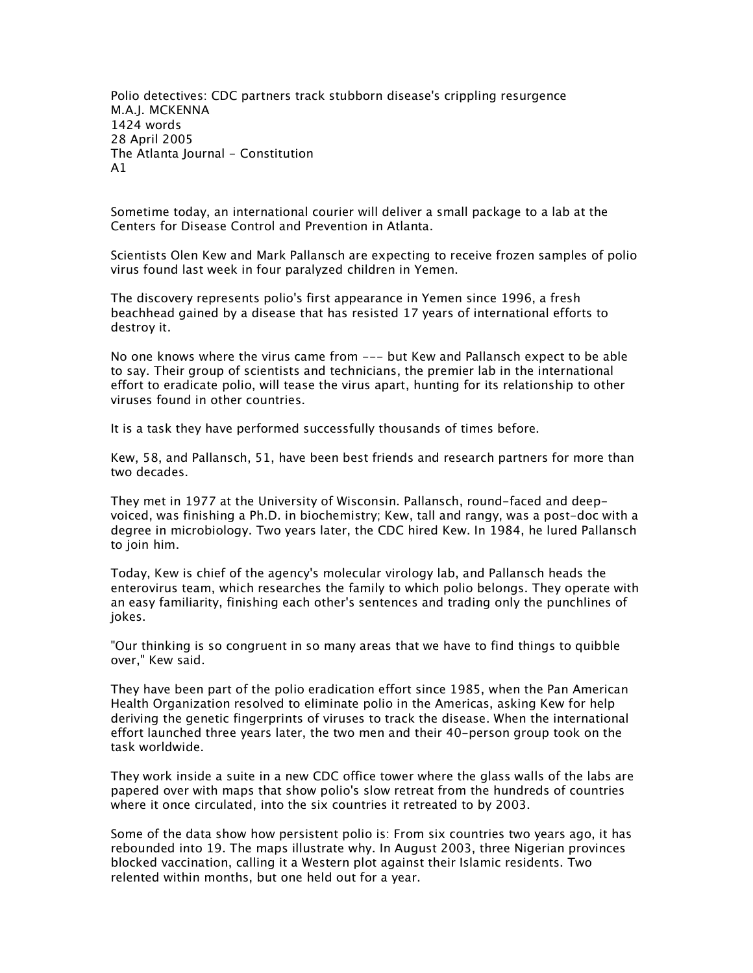*Polio detectives: CDC partners track stubborn disease's crippling resurgence M.A.J. MCKENNA 1424 words 28 April 2005 The Atlanta Journal - Constitution A1*

*Sometime today, an international courier will deliver a small package to a lab at the Centers for Disease Control and Prevention in Atlanta.*

*Scientists Olen Kew and Mark Pallansch are expecting to receive frozen samples of polio virus found last week in four paralyzed children in Yemen.*

*The discovery represents polio's first appearance in Yemen since 1996, a fresh beachhead gained by a disease that has resisted 17 years of international efforts to destroy it.*

*No one knows where the virus came from --- but Kew and Pallansch expect to be able*  to say. Their group of scientists and technicians, the premier lab in the international *effort to eradicate polio, will tease the virus apart, hunting for its relationship to other viruses found in other countries.*

*It is a task they have performed successfully thousands of times before.*

*Kew, 58, and Pallansch, 51, have been best friends and research partners for more than two decades.*

*They met in 1977 at the University of Wisconsin. Pallansch, round-faced and deepvoiced, was finishing a Ph.D. in biochemistry; Kew, tall and rangy, was a post-doc with a degree in microbiology. Two years later, the CDC hired Kew. In 1984, he lured Pallansch to join him.*

*Today, Kew is chief of the agency's molecular virology lab, and Pallansch heads the enterovirus team, which researches the family to which polio belongs. They operate with an easy familiarity, finishing each other's sentences and trading only the punchlines of jokes.*

*"Our thinking is so congruent in so many areas that we have to find things to quibble over," Kew said.*

*They have been part of the polio eradication effort since 1985, when the Pan American Health Organization resolved to eliminate polio in the Americas, asking Kew for help deriving the genetic fingerprints of viruses to track the disease. When the international effort launched three years later, the two men and their 40-person group took on the task worldwide.*

*They work inside a suite in a new CDC office tower where the glass walls of the labs are papered over with maps that show polio's slow retreat from the hundreds of countries where it once circulated, into the six countries it retreated to by 2003.*

*Some of the data show how persistent polio is: From six countries two years ago, it has rebounded into 19. The maps illustrate why. In August 2003, three Nigerian provinces blocked vaccination, calling it a Western plot against their Islamic residents. Two relented within months, but one held out for a year.*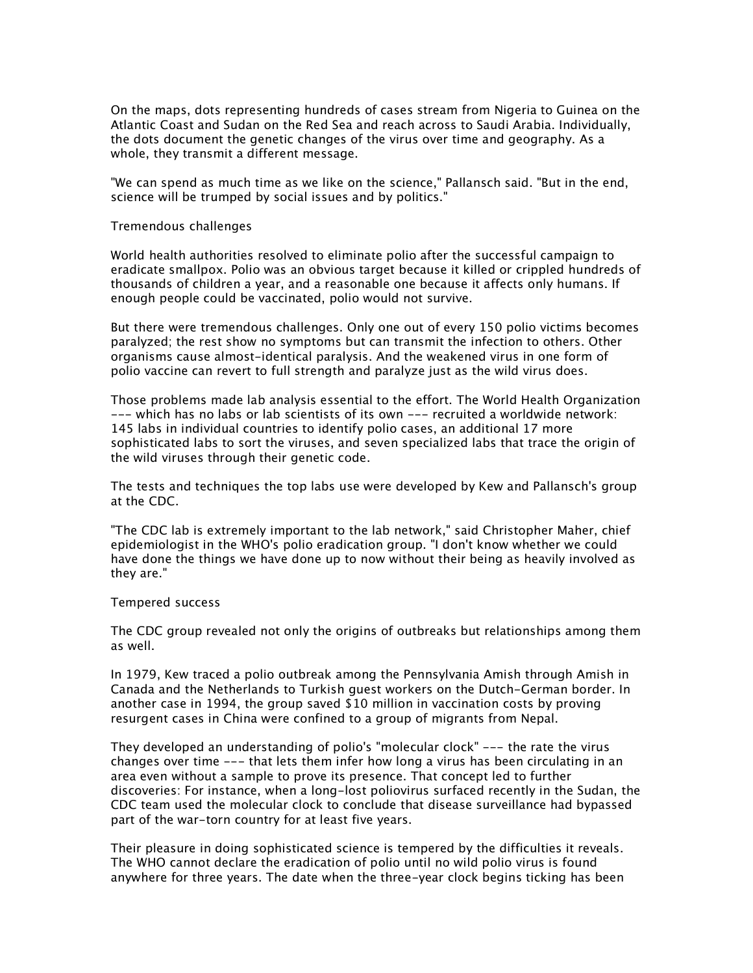*On the maps, dots representing hundreds of cases stream from Nigeria to Guinea on the Atlantic Coast and Sudan on the Red Sea and reach across to Saudi Arabia. Individually, the dots document the genetic changes of the virus over time and geography. As a whole, they transmit a different message.*

*"We can spend as much time as we like on the science," Pallansch said. "But in the end, science will be trumped by social issues and by politics."*

*Tremendous challenges*

*World health authorities resolved to eliminate polio after the successful campaign to eradicate smallpox. Polio was an obvious target because it killed or crippled hundreds of thousands of children a year, and a reasonable one because it affects only humans. If enough people could be vaccinated, polio would not survive.*

*But there were tremendous challenges. Only one out of every 150 polio victims becomes paralyzed; the rest show no symptoms but can transmit the infection to others. Other organisms cause almost-identical paralysis. And the weakened virus in one form of polio vaccine can revert to full strength and paralyze just as the wild virus does.*

*Those problems made lab analysis essential to the effort. The World Health Organization --- which has no labs or lab scientists of its own --- recruited a worldwide network: 145 labs in individual countries to identify polio cases, an additional 17 more sophisticated labs to sort the viruses, and seven specialized labs that trace the origin of the wild viruses through their genetic code.*

*The tests and techniques the top labs use were developed by Kew and Pallansch's group at the CDC.*

*"The CDC lab is extremely important to the lab network," said Christopher Maher, chief epidemiologist in the WHO's polio eradication group. "I don't know whether we could have done the things we have done up to now without their being as heavily involved as they are."*

*Tempered success*

*The CDC group revealed not only the origins of outbreaks but relationships among them as well.*

*In 1979, Kew traced a polio outbreak among the Pennsylvania Amish through Amish in Canada and the Netherlands to Turkish guest workers on the Dutch-German border. In another case in 1994, the group saved \$10 million in vaccination costs by proving resurgent cases in China were confined to a group of migrants from Nepal.*

*They developed an understanding of polio's "molecular clock" --- the rate the virus changes over time --- that lets them infer how long a virus has been circulating in an area even without a sample to prove its presence. That concept led to further discoveries: For instance, when a long-lost poliovirus surfaced recently in the Sudan, the CDC team used the molecular clock to conclude that disease surveillance had bypassed part of the war-torn country for at least five years.*

*Their pleasure in doing sophisticated science is tempered by the difficulties it reveals. The WHO cannot declare the eradication of polio until no wild polio virus is found anywhere for three years. The date when the three-year clock begins ticking has been*